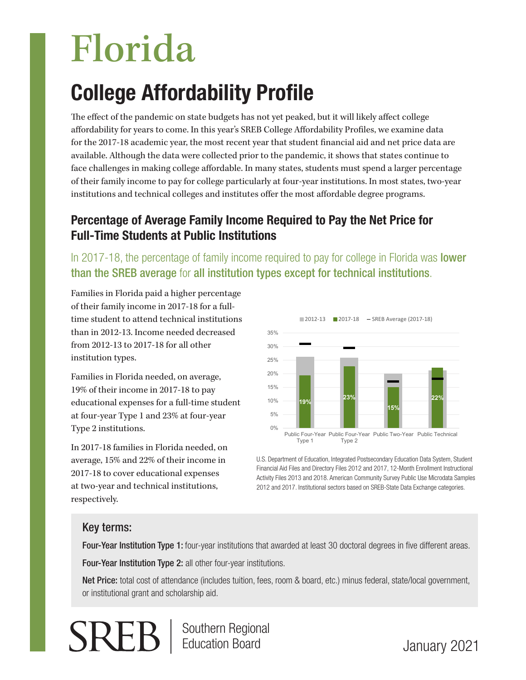# Florida

# College Affordability Profile

The effect of the pandemic on state budgets has not yet peaked, but it will likely affect college affordability for years to come. In this year's SREB College Affordability Profiles, we examine data for the 2017-18 academic year, the most recent year that student financial aid and net price data are available. Although the data were collected prior to the pandemic, it shows that states continue to face challenges in making college affordable. In many states, students must spend a larger percentage of their family income to pay for college particularly at four-year institutions. In most states, two-year institutions and technical colleges and institutes offer the most affordable degree programs.

# Percentage of Average Family Income Required to Pay the Net Price for Full-Time Students at Public Institutions

In 2017-18, the percentage of family income required to pay for college in Florida was **lower** than the SREB average for all institution types except for technical institutions.

Families in Florida paid a higher percentage of their family income in 2017-18 for a fulltime student to attend technical institutions than in 2012-13. Income needed decreased from 2012-13 to 2017-18 for all other institution types.

Families in Florida needed, on average, 19% of their income in 2017-18 to pay educational expenses for a full-time student at four-year Type 1 and 23% at four-year Type 2 institutions.

In 2017-18 families in Florida needed, on average, 15% and 22% of their income in 2017-18 to cover educational expenses at two-year and technical institutions, respectively.



U.S. Department of Education, Integrated Postsecondary Education Data System, Student Financial Aid Files and Directory Files 2012 and 2017, 12-Month Enrollment Instructional Activity Files 2013 and 2018. American Community Survey Public Use Microdata Samples 2012 and 2017. Institutional sectors based on SREB-State Data Exchange categories.

## Key terms:

Four-Year Institution Type 1: four-year institutions that awarded at least 30 doctoral degrees in five different areas.

Four-Year Institution Type 2: all other four-year institutions.

Net Price: total cost of attendance (includes tuition, fees, room & board, etc.) minus federal, state/local government, or institutional grant and scholarship aid.



Southern Regional Education Board

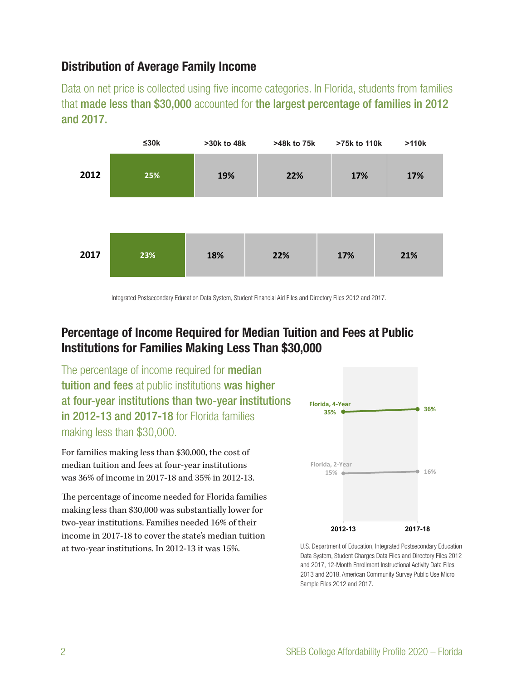#### Distribution of Average Family Income

Data on net price is collected using five income categories. In Florida, students from families that made less than \$30,000 accounted for the largest percentage of families in 2012 and 2017.



Integrated Postsecondary Education Data System, Student Financial Aid Files and Directory Files 2012 and 2017.

#### Percentage of Income Required for Median Tuition and Fees at Public Institutions for Families Making Less Than \$30,000

The percentage of income required for **median** tuition and fees at public institutions was higher at four-year institutions than two-year institutions in 2012-13 and 2017-18 for Florida families making less than \$30,000.

For families making less than \$30,000, the cost of median tuition and fees at four-year institutions was 36% of income in 2017-18 and 35% in 2012-13. **Year 35%**

The percentage of income needed for Florida families making less than \$30,000 was substantially lower for two-year institutions. Families needed 16% of their income in 2017-18 to cover the state's median tuition at two-year institutions. In 2012-13 it was 15%.



U.S. Department of Education, Integrated Postsecondary Education Data System, Student Charges Data Files and Directory Files 2012 and 2017, 12-Month Enrollment Instructional Activity Data Files 2013 and 2018. American Community Survey Public Use Micro Sample Files 2012 and 2017.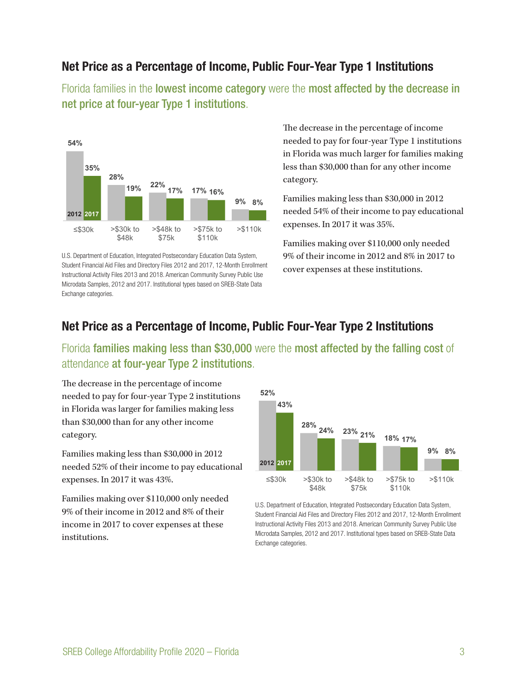#### Net Price as a Percentage of Income, Public Four-Year Type 1 Institutions

Florida families in the lowest income category were the most affected by the decrease in net price at four-year Type 1 institutions.



U.S. Department of Education, Integrated Postsecondary Education Data System, Student Financial Aid Files and Directory Files 2012 and 2017, 12-Month Enrollment Instructional Activity Files 2013 and 2018. American Community Survey Public Use Microdata Samples, 2012 and 2017. Institutional types based on SREB-State Data Exchange categories.

The decrease in the percentage of income needed to pay for four-year Type 1 institutions in Florida was much larger for families making less than \$30,000 than for any other income category. **35%**

Families making less than \$30,000 in 2012 needed 54% of their income to pay educational **17%** expenses. In 2017 it was 35%. **22% 19% 17% 16%**

Families making over \$110,000 only needed  $9\%$  of their income in  $2012$  and  $8\%$  in  $2017$  to cover expenses at these institutions.

#### Net Price as a Percentage of Income, Public Four-Year Type 2 Institutions

Florida families making less than \$30,000 were the most affected by the falling cost of attendance at four-year Type 2 institutions.

The decrease in the percentage of income **52%** needed to pay for four-year Type 2 institutions **43%** in Florida was larger for families making less **28% 23% 2011 18% 21% 18% 18% 18% 21% 21% 18% 21% 21% 21% 21% 21% 21% 21% 21% 21% 21% 21% 21% 21% 21% 21% 21% 21% 21% 21% 21% 21% 21% 21% 21% 21% 21% 21%** category.

Families making less than \$30,000 in 2012 needed 52% of their income to pay educational expenses. In 2017 it was 43%.  $\frac{48}{48}$  $\delta$  $\frac{1}{2}$ r oducat <sup>0</sup>

Families making over \$110,000 only needed 9% of their income in 2012 and 8% of their income in 2017 to cover expenses at these institutions.



U.S. Department of Education, Integrated Postsecondary Education Data System, Student Financial Aid Files and Directory Files 2012 and 2017, 12-Month Enrollment Instructional Activity Files 2013 and 2018. American Community Survey Public Use Microdata Samples, 2012 and 2017. Institutional types based on SREB-State Data Exchange categories.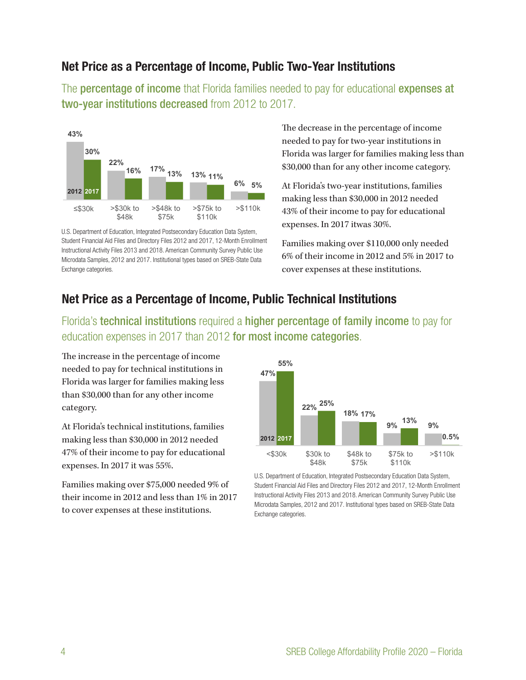#### Net Price as a Percentage of Income, Public Two-Year Institutions

The **percentage of income** that Florida families needed to pay for educational **expenses at** two-year institutions decreased from 2012 to 2017.



U.S. Department of Education, Integrated Postsecondary Education Data System, Student Financial Aid Files and Directory Files 2012 and 2017, 12-Month Enrollment Instructional Activity Files 2013 and 2018. American Community Survey Public Use Microdata Samples, 2012 and 2017. Institutional types based on SREB-State Data Exchange categories.

The decrease in the percentage of income needed to pay for two-year institutions in Florida was larger for families making less than \$30,000 than for any other income category.

At Florida's two-year institutions, families **22% 17% 13% 16% 13% 11%** making less than \$30,000 in 2012 needed **6%** 43% of their income to pay for educational expenses. In 2017 itwas 30%.

Families making over \$110,000 only needed 6% of their income in 2012 and 5% in 2017 to cover expenses at these institutions.

#### Net Price as a Percentage of Income, Public Technical Institutions

Florida's technical institutions required a higher percentage of family income to pay for education expenses in 2017 than 2012 for most income categories.

The increase in the percentage of income **47%** needed to pay for technical institutions in Florida was larger for families making less **25%** than \$30,000 than for any other income category.

At Florida's technical institutions, families making less than \$30,000 in 2012 needed 47% of their income to pay for educational expenses. In 2017 it was 55%.

Families making over \$75,000 needed 9% of their income in 2012 and less than 1% in 2017 to cover expenses at these institutions.



U.S. Department of Education, Integrated Postsecondary Education Data System, Student Financial Aid Files and Directory Files 2012 and 2017, 12-Month Enrollment Instructional Activity Files 2013 and 2018. American Community Survey Public Use Microdata Samples, 2012 and 2017. Institutional types based on SREB-State Data Exchange categories.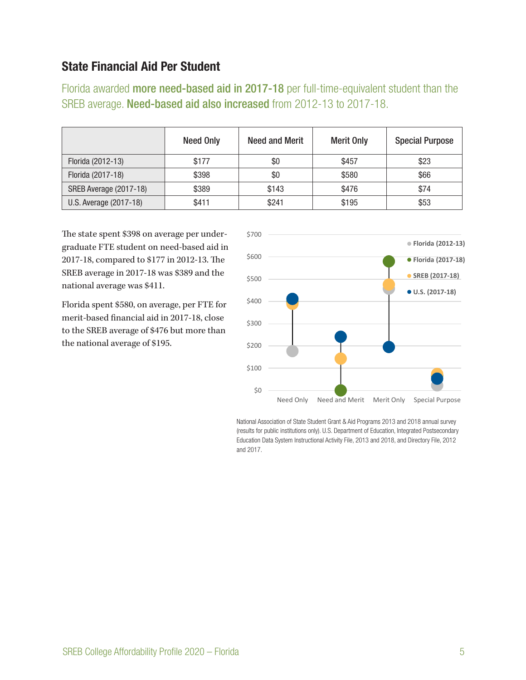#### State Financial Aid Per Student

Florida awarded more need-based aid in 2017-18 per full-time-equivalent student than the SREB average. Need-based aid also increased from 2012-13 to 2017-18.

|                        | <b>Need Only</b> | Need and Merit | <b>Merit Only</b> | <b>Special Purpose</b> |
|------------------------|------------------|----------------|-------------------|------------------------|
| Florida (2012-13)      | \$177            | \$0            | \$457             | \$23                   |
| Florida (2017-18)      | \$398            | \$0            | \$580             | \$66                   |
| SREB Average (2017-18) | \$389            | \$143          | \$476             | \$74                   |
| U.S. Average (2017-18) | \$411            | \$241          | \$195             | \$53                   |

The state spent \$398 on average per undergraduate FTE student on need-based aid in 2017-18, compared to \$177 in 2012-13. The SREB average in 2017-18 was \$389 and the national average was \$411.

Florida spent \$580, on average, per FTE for merit-based financial aid in 2017-18, close to the SREB average of \$476 but more than the national average of \$195.



National Association of State Student Grant & Aid Programs 2013 and 2018 annual survey (results for public institutions only). U.S. Department of Education, Integrated Postsecondary Education Data System Instructional Activity File, 2013 and 2018, and Directory File, 2012 and 2017.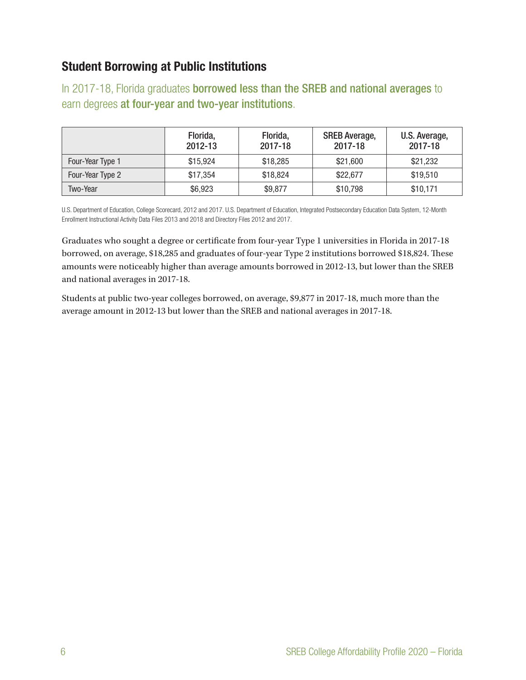## Student Borrowing at Public Institutions

In 2017-18, Florida graduates **borrowed less than the SREB and national averages** to earn degrees at four-year and two-year institutions.

|                  | Florida,<br>2012-13 | Florida,<br>2017-18 | <b>SREB Average,</b><br>2017-18 | U.S. Average,<br>2017-18 |
|------------------|---------------------|---------------------|---------------------------------|--------------------------|
| Four-Year Type 1 | \$15,924            | \$18,285            | \$21,600                        | \$21,232                 |
| Four-Year Type 2 | \$17,354            | \$18,824            | \$22,677                        | \$19,510                 |
| Two-Year         | \$6,923             | \$9,877             | \$10,798                        | \$10,171                 |

U.S. Department of Education, College Scorecard, 2012 and 2017. U.S. Department of Education, Integrated Postsecondary Education Data System, 12-Month Enrollment Instructional Activity Data Files 2013 and 2018 and Directory Files 2012 and 2017.

Graduates who sought a degree or certificate from four-year Type 1 universities in Florida in 2017-18 borrowed, on average, \$18,285 and graduates of four-year Type 2 institutions borrowed \$18,824. These amounts were noticeably higher than average amounts borrowed in 2012-13, but lower than the SREB and national averages in 2017-18.

Students at public two-year colleges borrowed, on average, \$9,877 in 2017-18, much more than the average amount in 2012-13 but lower than the SREB and national averages in 2017-18.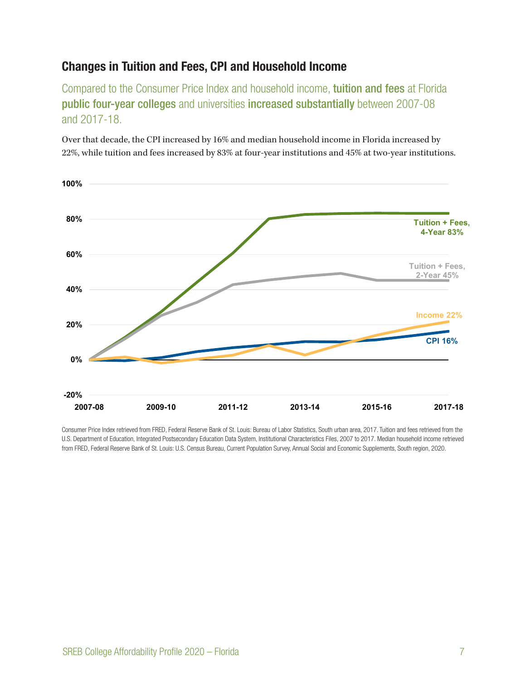### Changes in Tuition and Fees, CPI and Household Income

Compared to the Consumer Price Index and household income, tuition and fees at Florida public four-year colleges and universities increased substantially between 2007-08 and 2017-18.

Over that decade, the CPI increased by 16% and median household income in Florida increased by 22%, while tuition and fees increased by 83% at four-year institutions and 45% at two-year institutions.



Consumer Price Index retrieved from FRED, Federal Reserve Bank of St. Louis: Bureau of Labor Statistics, South urban area, 2017. Tuition and fees retrieved from the U.S. Department of Education, Integrated Postsecondary Education Data System, Institutional Characteristics Files, 2007 to 2017. Median household income retrieved from FRED, Federal Reserve Bank of St. Louis: U.S. Census Bureau, Current Population Survey, Annual Social and Economic Supplements, South region, 2020.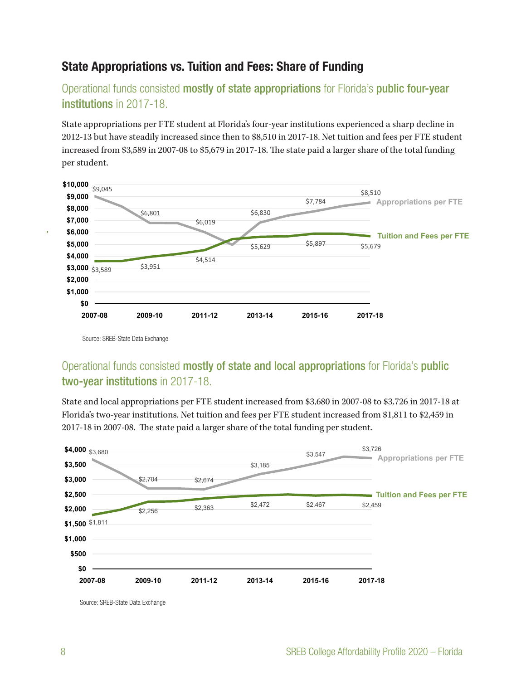### State Appropriations vs. Tuition and Fees: Share of Funding

Operational funds consisted mostly of state appropriations for Florida's public four-year institutions in 2017-18.

State appropriations per FTE student at Florida's four-year institutions experienced a sharp decline in 2012-13 but have steadily increased since then to \$8,510 in 2017-18. Net tuition and fees per FTE student increased from \$3,589 in 2007-08 to \$5,679 in 2017-18. The state paid a larger share of the total funding per student.



Source: SREB-State Data Exchange

**\$4,000**

#### Operational funds consisted mostly of state and local appropriations for Florida's public **2007-08 2009-10 2011-12 2013-14 2015-16 2017-18** two-year institutions in 2017-18.

2017-18 in 2007-08. The state paid a larger share of the total funding per student.  $_{\rm 1cm}$ \$3,547 \$3,726 **\$3,500** State and local appropriations per FTE student increased from \$3,680 in 2007-08 to \$3,726 in 2017-18 at Florida's two-year institutions. Net tuition and fees per FTE student increased from \$1,811 to \$2,459 in



Source: SREB-State Data Exchange

**Tuition + Fees,**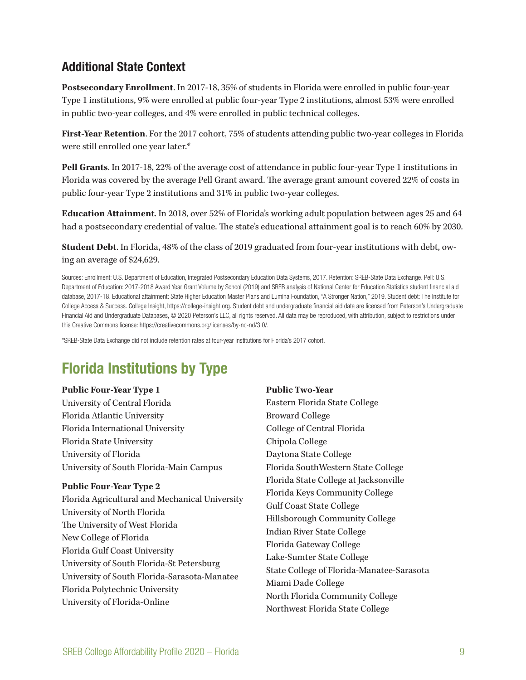#### Additional State Context

**Postsecondary Enrollment**. In 2017-18, 35% of students in Florida were enrolled in public four-year Type 1 institutions, 9% were enrolled at public four-year Type 2 institutions, almost 53% were enrolled in public two-year colleges, and 4% were enrolled in public technical colleges.

**First-Year Retention**. For the 2017 cohort, 75% of students attending public two-year colleges in Florida were still enrolled one year later.\*

**Pell Grants**. In 2017-18, 22% of the average cost of attendance in public four-year Type 1 institutions in Florida was covered by the average Pell Grant award. The average grant amount covered 22% of costs in public four-year Type 2 institutions and 31% in public two-year colleges.

**Education Attainment**. In 2018, over 52% of Florida's working adult population between ages 25 and 64 had a postsecondary credential of value. The state's educational attainment goal is to reach 60% by 2030.

**Student Debt**. In Florida, 48% of the class of 2019 graduated from four-year institutions with debt, owing an average of \$24,629.

Sources: Enrollment: U.S. Department of Education, Integrated Postsecondary Education Data Systems, 2017. Retention: SREB-State Data Exchange. Pell: U.S. Department of Education: 2017-2018 Award Year Grant Volume by School (2019) and SREB analysis of National Center for Education Statistics student financial aid database, 2017-18. Educational attainment: State Higher Education Master Plans and Lumina Foundation, "A Stronger Nation," 2019. Student debt: The Institute for College Access & Success. College Insight, https://college-insight.org. Student debt and undergraduate financial aid data are licensed from Peterson's Undergraduate Financial Aid and Undergraduate Databases, © 2020 Peterson's LLC, all rights reserved. All data may be reproduced, with attribution, subject to restrictions under this Creative Commons license: https://creativecommons.org/licenses/by-nc-nd/3.0/.

\*SREB-State Data Exchange did not include retention rates at four-year institutions for Florida's 2017 cohort.

# Florida Institutions by Type

#### **Public Four-Year Type 1**

University of Central Florida Florida Atlantic University Florida International University Florida State University University of Florida University of South Florida-Main Campus

#### **Public Four-Year Type 2**

Florida Agricultural and Mechanical University University of North Florida The University of West Florida New College of Florida Florida Gulf Coast University University of South Florida-St Petersburg University of South Florida-Sarasota-Manatee Florida Polytechnic University University of Florida-Online

**Public Two-Year** Eastern Florida State College Broward College College of Central Florida Chipola College Daytona State College Florida SouthWestern State College Florida State College at Jacksonville Florida Keys Community College Gulf Coast State College Hillsborough Community College Indian River State College Florida Gateway College Lake-Sumter State College State College of Florida-Manatee-Sarasota Miami Dade College North Florida Community College Northwest Florida State College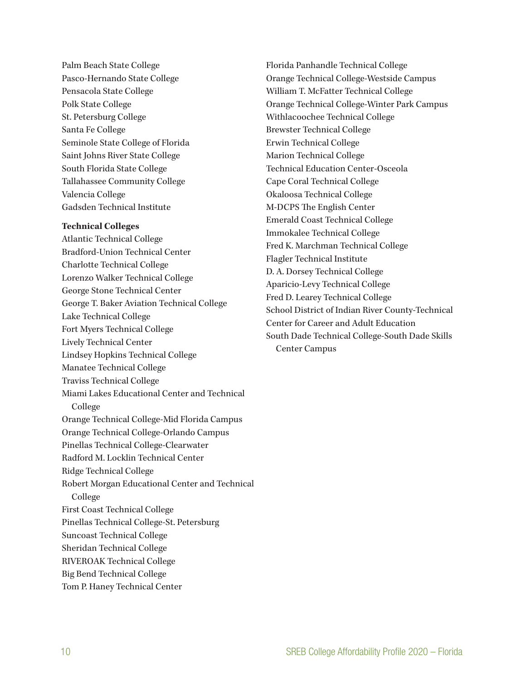Palm Beach State College Pasco-Hernando State College Pensacola State College Polk State College St. Petersburg College Santa Fe College Seminole State College of Florida Saint Johns River State College South Florida State College Tallahassee Community College Valencia College Gadsden Technical Institute

#### **Technical Colleges**

Atlantic Technical College Bradford-Union Technical Center Charlotte Technical College Lorenzo Walker Technical College George Stone Technical Center George T. Baker Aviation Technical College Lake Technical College Fort Myers Technical College Lively Technical Center Lindsey Hopkins Technical College Manatee Technical College Traviss Technical College Miami Lakes Educational Center and Technical College Orange Technical College-Mid Florida Campus Orange Technical College-Orlando Campus Pinellas Technical College-Clearwater Radford M. Locklin Technical Center Ridge Technical College Robert Morgan Educational Center and Technical College First Coast Technical College Pinellas Technical College-St. Petersburg Suncoast Technical College Sheridan Technical College RIVEROAK Technical College Big Bend Technical College Tom P. Haney Technical Center

Florida Panhandle Technical College Orange Technical College-Westside Campus William T. McFatter Technical College Orange Technical College-Winter Park Campus Withlacoochee Technical College Brewster Technical College Erwin Technical College Marion Technical College Technical Education Center-Osceola Cape Coral Technical College Okaloosa Technical College M-DCPS The English Center Emerald Coast Technical College Immokalee Technical College Fred K. Marchman Technical College Flagler Technical Institute D. A. Dorsey Technical College Aparicio-Levy Technical College Fred D. Learey Technical College School District of Indian River County-Technical Center for Career and Adult Education South Dade Technical College-South Dade Skills Center Campus